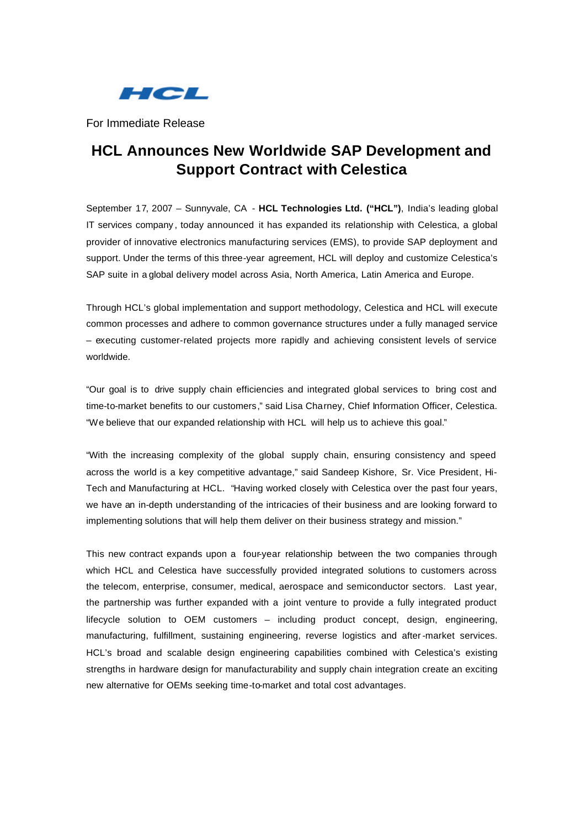

For Immediate Release

# **HCL Announces New Worldwide SAP Development and Support Contract with Celestica**

September 17, 2007 – Sunnyvale, CA - **HCL Technologies Ltd. ("HCL")**, India's leading global IT services company , today announced it has expanded its relationship with Celestica, a global provider of innovative electronics manufacturing services (EMS), to provide SAP deployment and support. Under the terms of this three-year agreement, HCL will deploy and customize Celestica's SAP suite in a global delivery model across Asia, North America, Latin America and Europe.

Through HCL's global implementation and support methodology, Celestica and HCL will execute common processes and adhere to common governance structures under a fully managed service – executing customer-related projects more rapidly and achieving consistent levels of service worldwide.

"Our goal is to drive supply chain efficiencies and integrated global services to bring cost and time-to-market benefits to our customers," said Lisa Charney, Chief Information Officer, Celestica. "We believe that our expanded relationship with HCL will help us to achieve this goal."

"With the increasing complexity of the global supply chain, ensuring consistency and speed across the world is a key competitive advantage," said Sandeep Kishore, Sr. Vice President, Hi-Tech and Manufacturing at HCL. "Having worked closely with Celestica over the past four years, we have an in-depth understanding of the intricacies of their business and are looking forward to implementing solutions that will help them deliver on their business strategy and mission."

This new contract expands upon a four-year relationship between the two companies through which HCL and Celestica have successfully provided integrated solutions to customers across the telecom, enterprise, consumer, medical, aerospace and semiconductor sectors. Last year, the partnership was further expanded with a joint venture to provide a fully integrated product lifecycle solution to OEM customers – including product concept, design, engineering, manufacturing, fulfillment, sustaining engineering, reverse logistics and after-market services. HCL's broad and scalable design engineering capabilities combined with Celestica's existing strengths in hardware design for manufacturability and supply chain integration create an exciting new alternative for OEMs seeking time-to-market and total cost advantages.